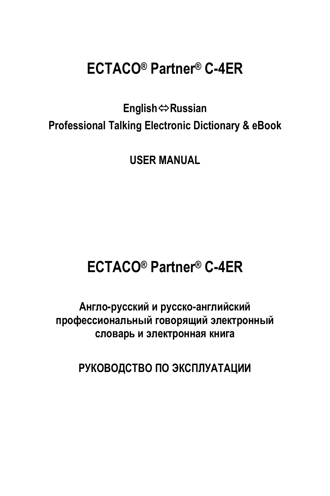# **ECTACO® Partner® C-4ER**

**English**Ù**Russian Professional Talking Electronic Dictionary & eBook** 

**USER MANUAL** 

# **ECTACO® Partner® C-4ER**

**Англо-русский и русско-английский профессиональный говорящий электронный словарь и электронная книга**

**РУКОВОДСТВО ПО ЭКСПЛУАТАЦИИ**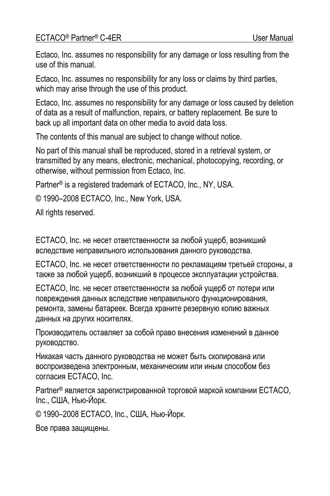#### ECTACO<sup>®</sup> Partner<sup>®</sup> C-4ER User Manual

Ectaco, Inc. assumes no responsibility for any damage or loss resulting from the use of this manual.

Ectaco, Inc. assumes no responsibility for any loss or claims by third parties, which may arise through the use of this product.

Ectaco, Inc. assumes no responsibility for any damage or loss caused by deletion of data as a result of malfunction, repairs, or battery replacement. Be sure to back up all important data on other media to avoid data loss.

The contents of this manual are subject to change without notice.

No part of this manual shall be reproduced, stored in a retrieval system, or transmitted by any means, electronic, mechanical, photocopying, recording, or otherwise, without permission from Ectaco, Inc.

Partner® is a registered trademark of ECTACO, Inc., NY, USA.

© 1990–2008 ECTACO, Inc., New York, USA.

All rights reserved.

ECTACO, Inc. не несет ответственности за любой ущерб, возникший вследствие неправильного использования данного руководства.

ECTACO, Inc. не несет ответственности по рекламациям третьей стороны, а также за любой ущерб, возникший в процессе эксплуатации устройства.

ECTACO, Inc. не несет ответственности за любой ущерб от потери или повреждения данных вследствие неправильного функционирования, ремонта, замены батареек. Всегда храните резервную копию важных данных на других носителях.

Производитель оставляет за собой право внесения изменений в данное руководство.

Никакая часть данного руководства не может быть скопирована или воспроизведена электронным, механическим или иным способом без согласия ECTACO, Inc.

Partner® является зарегистрированной торговой маркой компании ECTACO, Inc., США, Нью-Йорк.

© 1990–2008 ECTACO, Inc., США, Нью-Йорк.

Все права защищены.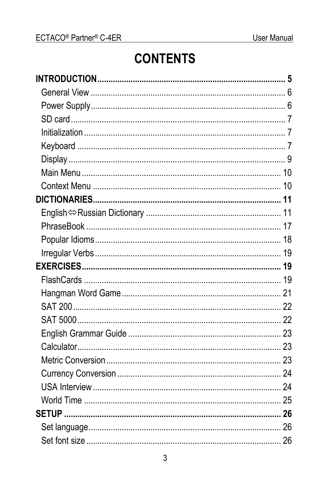# **CONTENTS**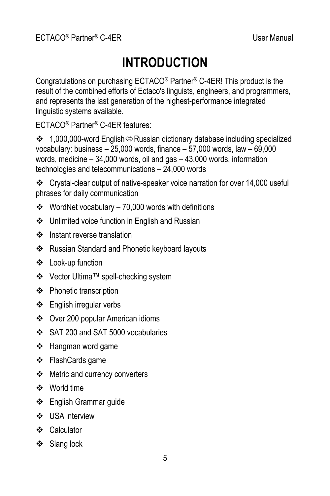# **INTRODUCTION**

<span id="page-4-0"></span>Congratulations on purchasing ECTACO® Partner® C-4ER! This product is the result of the combined efforts of Ectaco's linguists, engineers, and programmers, and represents the last generation of the highest-performance integrated linguistic systems available.

ECTACO® Partner® C-4ER features:

 $\cdot$  1,000,000-word English $\Leftrightarrow$  Russian dictionary database including specialized vocabulary: business – 25,000 words, finance – 57,000 words, law – 69,000 words, medicine – 34,000 words, oil and gas – 43,000 words, information technologies and telecommunications – 24,000 words

 Crystal-clear output of native-speaker voice narration for over 14,000 useful phrases for daily communication

- $\div$  WordNet vocabulary 70,000 words with definitions
- Unlimited voice function in English and Russian
- ❖ Instant reverse translation
- Russian Standard and Phonetic keyboard layouts
- ❖ Look-up function
- Vector Ultima™ spell-checking system
- ❖ Phonetic transcription
- English irregular verbs
- Over 200 popular American idioms
- SAT 200 and SAT 5000 vocabularies
- ❖ Hangman word game
- FlashCards game
- Metric and currency converters
- World time
- English Grammar guide
- $\cdot$  USA interview
- ❖ Calculator
- Slang lock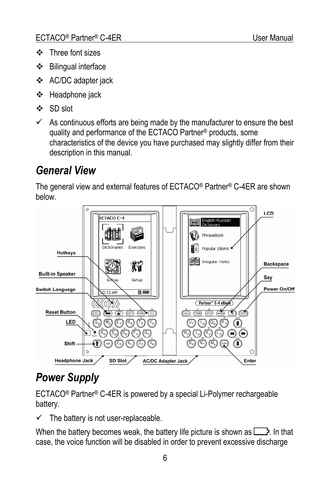- <span id="page-5-0"></span> $\div$  Three font sizes
- Bilingual interface
- AC/DC adapter jack
- Headphone jack
- SD slot
- $\checkmark$  As continuous efforts are being made by the manufacturer to ensure the best quality and performance of the ECTACO Partner® products, some characteristics of the device you have purchased may slightly differ from their description in this manual.

# *General View*

The general view and external features of ECTACO® Partner® C-4ER are shown below.



# *Power Supply*

ECTACO® Partner® C-4ER is powered by a special Li-Polymer rechargeable battery.

 $\checkmark$  The battery is not user-replaceable.

When the battery becomes weak, the battery life picture is shown as  $\Box$ . In that case, the voice function will be disabled in order to prevent excessive discharge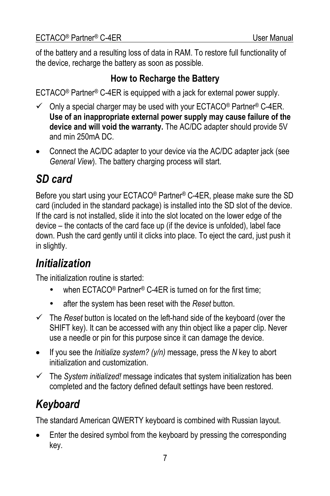<span id="page-6-0"></span>of the battery and a resulting loss of data in RAM. To restore full functionality of the device, recharge the battery as soon as possible.

#### **How to Recharge the Battery**

ECTACO® Partner® C-4ER is equipped with a jack for external power supply.

- $\checkmark$  Only a special charger may be used with your ECTACO® Partner® C-4ER. **Use of an inappropriate external power supply may cause failure of the device and will void the warranty.** The AC/DC adapter should provide 5V and min 250mA DC.
- Connect the AC/DC adapter to your device via the AC/DC adapter jack (see *General View*). The battery charging process will start.

# *SD card*

Before you start using your ECTACO® Partner® C-4ER, please make sure the SD card (included in the standard package) is installed into the SD slot of the device. If the card is not installed, slide it into the slot located on the lower edge of the device *–* the contacts of the card face up (if the device is unfolded), label face down. Push the card gently until it clicks into place. To eject the card, just push it in slightly.

# *Initialization*

The initialization routine is started:

- when ECTACO<sup>®</sup> Partner<sup>®</sup> C-4ER is turned on for the first time;
- after the system has been reset with the *Reset* button.
- $\checkmark$  The *Reset* button is located on the left-hand side of the keyboard (over the SHIFT key). It can be accessed with any thin object like a paper clip. Never use a needle or pin for this purpose since it can damage the device.
- If you see the *Initialize system? (y/n)* message, press the *N* key to abort initialization and customization.
- $\checkmark$  The *System initialized!* message indicates that system initialization has been completed and the factory defined default settings have been restored.

# *Keyboard*

The standard American QWERTY keyboard is combined with Russian layout.

• Enter the desired symbol from the keyboard by pressing the corresponding key.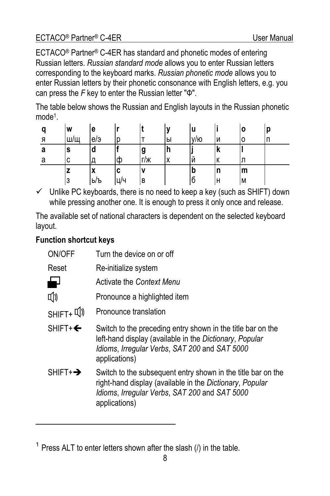ECTACO® Partner® C-4ER has standard and phonetic modes of entering Russian letters. *Russian standard mode* allows you to enter Russian letters corresponding to the keyboard marks. *Russian phonetic mode* allows you to enter Russian letters by their phonetic consonance with English letters, e.g. you can press the *F* key to enter the Russian letter "Ф".

The table below shows the Russian and English layouts in the Russian phonetic mode1.

| a | W   | е              |    |     |    | u   |    | ۱O | р |
|---|-----|----------------|----|-----|----|-----|----|----|---|
| я | Ш/Щ | e/э            |    |     | ۱Ы | V/D | IИ | ıо | п |
| а | s   | a              |    | g   |    |     | ΙK |    |   |
| а | с   |                | Ф  | г/ж | v  | Й   | К  |    |   |
|   | z   | $\bullet$<br>л | c  |     |    | D   | n  | m  |   |
|   | 3   | ь/ъ            | ШΉ | B   |    | l6  | н  | IМ |   |

 $\checkmark$  Unlike PC keyboards, there is no need to keep a key (such as SHIFT) down while pressing another one. It is enough to press it only once and release.

The available set of national characters is dependent on the selected keyboard layout.

#### **Function shortcut keys**

l

| ON/OFF               | Turn the device on or off                                                                                                                                                                  |
|----------------------|--------------------------------------------------------------------------------------------------------------------------------------------------------------------------------------------|
| Reset                | Re-initialize system                                                                                                                                                                       |
|                      | Activate the Context Menu                                                                                                                                                                  |
| [(J                  | Pronounce a highlighted item                                                                                                                                                               |
|                      | Pronounce translation                                                                                                                                                                      |
| $SHIFT + \leftarrow$ | Switch to the preceding entry shown in the title bar on the<br>left-hand display (available in the Dictionary, Popular<br>Idioms, Irregular Verbs, SAT 200 and SAT 5000<br>applications)   |
| $SHIFT+\rightarrow$  | Switch to the subsequent entry shown in the title bar on the<br>right-hand display (available in the Dictionary, Popular<br>Idioms, Irregular Verbs, SAT 200 and SAT 5000<br>applications) |
|                      |                                                                                                                                                                                            |

 $1$  Press ALT to enter letters shown after the slash ( $\theta$ ) in the table.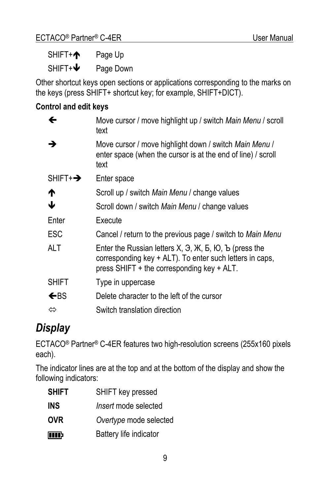<span id="page-8-0"></span> $SHIFT + \n\bigwedge$  Page Up

 $SHIFT+\bigtriangledown$  Page Down

Other shortcut keys open sections or applications corresponding to the marks on the keys (press SHIFT+ shortcut key; for example, SHIFT+DICT).

#### **Control and edit keys**

| ←                     | Move cursor / move highlight up / switch Main Menu / scroll<br>text                                                                                                                   |
|-----------------------|---------------------------------------------------------------------------------------------------------------------------------------------------------------------------------------|
| →                     | Move cursor / move highlight down / switch Main Menu /<br>enter space (when the cursor is at the end of line) / scroll<br>text                                                        |
| $SHIFT + \rightarrow$ | Enter space                                                                                                                                                                           |
| ↑                     | Scroll up / switch Main Menu / change values                                                                                                                                          |
| ↓                     | Scroll down / switch Main Menu / change values                                                                                                                                        |
| Enter                 | Fxecute                                                                                                                                                                               |
| <b>ESC</b>            | Cancel / return to the previous page / switch to Main Menu                                                                                                                            |
| <b>ALT</b>            | Enter the Russian letters $X$ , $\Theta$ , $X$ , $E$ , $O$ , $E$ (press the<br>corresponding key + ALT). To enter such letters in caps,<br>press SHIFT + the corresponding key + ALT. |
| <b>SHIFT</b>          | Type in uppercase                                                                                                                                                                     |
| $\leftarrow$ BS       | Delete character to the left of the cursor                                                                                                                                            |
| ⇔                     | Switch translation direction                                                                                                                                                          |

## *Display*

ECTACO® Partner® C-4ER features two high-resolution screens (255x160 pixels each).

The indicator lines are at the top and at the bottom of the display and show the following indicators:

| <b>SHIFT</b> | SHIFT key pressed           |
|--------------|-----------------------------|
| <b>INS</b>   | <i>Insert</i> mode selected |
| <b>OVR</b>   | Overtype mode selected      |
| mr           | Battery life indicator      |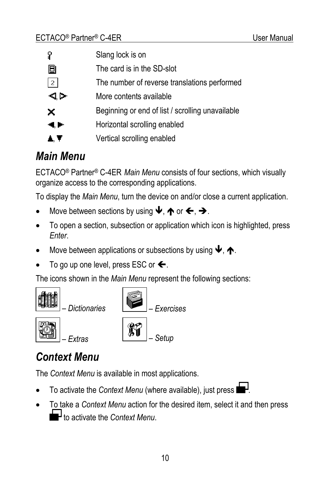<span id="page-9-0"></span>

| Ϋ          | Slang lock is on                                 |
|------------|--------------------------------------------------|
| 圓          | The card is in the SD-slot                       |
| $\vert$ 2  | The number of reverse translations performed     |
| ⊲.⊳        | More contents available                          |
| ×          | Beginning or end of list / scrolling unavailable |
| <b>4.P</b> | Horizontal scrolling enabled                     |
| . .        | Vertical scrolling enabled                       |

### *Main Menu*

ECTACO® Partner® C-4ER *Main Menu* consists of four sections, which visually organize access to the corresponding applications.

To display the *Main Menu*, turn the device on and/or close a current application.

- Move between sections by using  $\blacklozenge$ ,  $\blacklozenge$  or  $\blacklozenge$ ,  $\blacktriangleright$ .
- To open a section, subsection or application which icon is highlighted, press *Enter*.
- Move between applications or subsections by using  $\blacklozenge$ ,  $\blacklozenge$ .
- To go up one level, press ESC or  $\leftarrow$ .

The icons shown in the *Main Menu* represent the following sections:



## *Context Menu*

The *Context Menu* is available in most applications.

- To activate the *Context Menu* (where available), just press **I**
- To take a *Context Menu* action for the desired item, select it and then press **to** activate the *Context Menu*.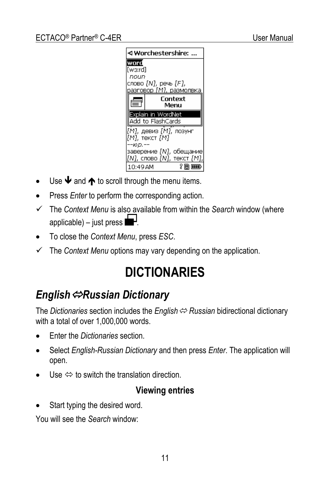<span id="page-10-0"></span>

- Use  $\blacktriangleright$  and  $\blacklozenge$  to scroll through the menu items.
- Press *Enter* to perform the corresponding action.
- 9 The *Context Menu* is also available from within the *Search* window (where applicable) – just press  $\blacksquare$
- To close the *Context Menu*, press *ESC*.
- $\checkmark$  The *Context Menu* options may vary depending on the application.

# **DICTIONARIES**

## *English*Ù*Russian Dictionary*

The *Dictionaries* section includes the *English* <sup>*⇔*</sup> Russian bidirectional dictionary with a total of over 1,000,000 words.

- Enter the *Dictionaries* section.
- Select *English-Russian Dictionary* and then press *Enter*. The application will open.
- Use  $\Leftrightarrow$  to switch the translation direction.

#### **Viewing entries**

Start typing the desired word.

You will see the *Search* window: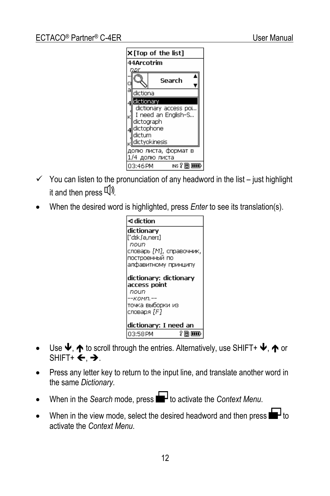

- $\checkmark$  You can listen to the pronunciation of any headword in the list just highlight it and then press  $\mathbb{Q}$ .
- When the desired word is highlighted, press *Enter* to see its translation(s).

| ⊲ diction                              |
|----------------------------------------|
| ldictionary                            |
| ['dɪkʃə,nerɪ]                          |
| noun                                   |
| словарь [М], справочник,               |
| построенный по<br>алфавитному принципу |
|                                        |
| dictionary: dictionary                 |
| access point                           |
| noun                                   |
| --комп.--                              |
| Іточка выборки из                      |
| словаря [F]                            |
|                                        |
| dictionary: I need an                  |
| ?同而吸<br>03:58 PM                       |

- Use  $\blacklozenge$ ,  $\blacklozenge$  to scroll through the entries. Alternatively, use SHIFT+  $\blacklozenge$ ,  $\blacklozenge$  or  $SHIFT+ \leftarrow A$ .
- Press any letter key to return to the input line, and translate another word in the same *Dictionary*.
- When in the *Search* mode, press **to** + to activate the *Context Menu.*
- When in the view mode, select the desired headword and then press  $\blacksquare$  to activate the *Context Menu*.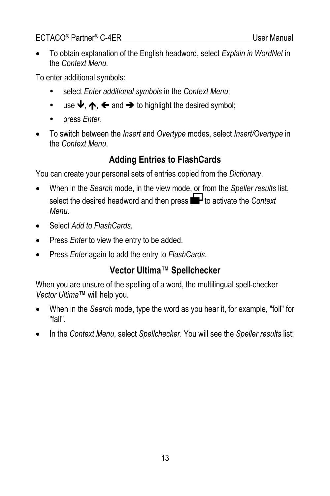#### ECTACO<sup>®</sup> Partner<sup>®</sup> C-4ER User Manual

• To obtain explanation of the English headword, select *Explain in WordNet* in the *Context Menu*.

To enter additional symbols:

- select *Enter additional symbols* in the *Context Menu*;
- use  $\blacklozenge$ ,  $\blacklozenge$ ,  $\blacklozenge$  and  $\blacktriangleright$  to highlight the desired symbol;
- press *Enter*.
- To switch between the *Insert* and *Overtype* modes, select *Insert/Overtype* in the *Context Menu*.

#### **Adding Entries to FlashCards**

You can create your personal sets of entries copied from the *Dictionary*.

- When in the *Search* mode, in the view mode, or from the *Speller results* list, select the desired headword and then press  $\blacksquare$  to activate the *Context Menu*.
- Select *Add to FlashCards*.
- Press *Enter* to view the entry to be added.
- Press *Enter* again to add the entry to *FlashCards*.

#### **Vector Ultima™ Spellchecker**

When you are unsure of the spelling of a word, the multilingual spell-checker *Vector Ultima*™ will help you.

- When in the *Search* mode, type the word as you hear it, for example, "foll" for "fall".
- In the *Context Menu*, select *Spellchecker*. You will see the *Speller results* list: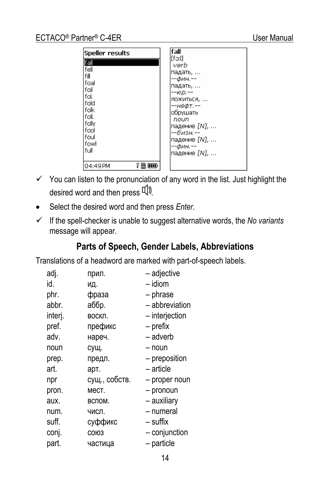| Speller results                                                                                                              | fall                                                                                                                                                                                |
|------------------------------------------------------------------------------------------------------------------------------|-------------------------------------------------------------------------------------------------------------------------------------------------------------------------------------|
| fall<br>fell<br>fill<br>lfoal<br>foil<br>lfol.<br>l fold<br>lfolk<br>l foll.<br>  folly<br>l fool<br>lfoul<br>lfowl<br>lfull | [fə:l]<br>verb<br>падать,<br>--фин.--<br>падать,<br>$-10D -$<br>ЛОЖИТЬСЯ,<br>--нефт.--<br>обрушать<br>noun<br>падение [N],<br>--бизн.--<br>падение [N],<br>--фин.--<br>падение [N]. |
| ? © <del>w</del><br>l04:49PM                                                                                                 |                                                                                                                                                                                     |

- $\checkmark$  You can listen to the pronunciation of any word in the list. Just highlight the desired word and then press  $\mathbb{Q}$ .
- Select the desired word and then press *Enter*.
- $\checkmark$  If the spell-checker is unable to suggest alternative words, the *No variants* message will appear.

#### **Parts of Speech, Gender Labels, Abbreviations**

Translations of a headword are marked with part-of-speech labels.

| adj.    | прил.         | - adjective     |
|---------|---------------|-----------------|
| id.     | ИД.           | $-$ idiom       |
| phr.    | фраза         | - phrase        |
| abbr.   | аббр.         | - abbreviation  |
| interi. | воскл.        | - interjection  |
| pref.   | префикс       | - prefix        |
| adv.    | нареч.        | - adverb        |
| noun    | сущ.          | - noun          |
| prep.   | предл.        | - preposition   |
| art.    | арт.          | - article       |
| npr     | сущ., собств. | - proper noun   |
| pron.   | мест.         | - pronoun       |
| aux.    | вспом.        | - auxiliary     |
| num.    | числ.         | – numeral       |
| suff.   | суффикс       | - suffix        |
| conj.   | СОЮЗ          | $-$ conjunction |
| part.   | частица       | - particle      |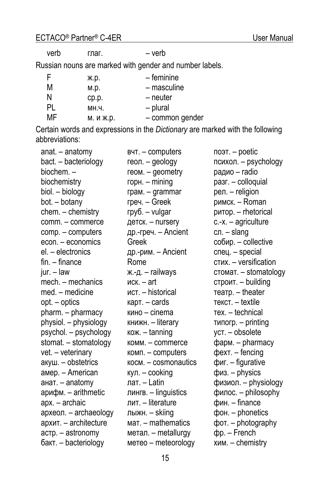verb глаг. – verb

Russian nouns are marked with gender and number labels.

| F  | ж.р.      | – feminine      |
|----|-----------|-----------------|
| M  | M.D.      | - masculine     |
| N  | CD.D.     | - neuter        |
| PL | MH.4.     | - plural        |
| MF | м. и ж.р. | - common gender |

Certain words and expressions in the *Dictionary* are marked with the following abbreviations:

| anat. - anatomy       | BYT. - computers                      | поэт. $-$ poetic                   |
|-----------------------|---------------------------------------|------------------------------------|
| bact. - bacteriology  | геол. - geology                       | психол. - psychology               |
| biochem. -            | геом. - geometry                      | радио - radio                      |
| biochemistry          | горн. $-$ mining                      | pasr. - colloquial                 |
| biol. - biology       | грам. - grammar                       | рел. - religion                    |
| bot. - botany         | греч. – Greek                         | римск. - Roman                     |
| chem. - chemistry     | груб. - vulgar                        | ритор. - rhetorical                |
| comm. - commerce      | детск. - nursery                      | $c.-x. - agriculture$              |
| comp. - computers     | др.-греч. - Ancient                   | сл. – slang                        |
| econ. - economics     | Greek                                 | собир. - collective                |
| el. - electronics     | др.-рим. – Ancient                    | спец. - special                    |
| $fin. - finance$      | Rome                                  | стих. - versification              |
| jur. - law            | ж.-д. – railways                      | стомат. - stomatology              |
| mech. - mechanics     | иск. $-$ art                          | строит. - building                 |
| med. - medicine       | ист. - historical                     | $rearp. - theater$                 |
| $opt. - optics$       | карт. - cards                         | текст. - textile                   |
| pharm. - pharmacy     | кино - cinema                         | Tex. - technical                   |
| physiol. - physiology | книжн. - literary                     | $T$ <i>M</i> $n$ Orp. $-$ printing |
| psychol. - psychology | кож. - tanning                        | уст. - obsolete                    |
| stomat. - stomatology | комм. - commerce                      | фарм. - pharmacy                   |
| vet. - veterinary     | комп. - computers                     | $\phi$ ext. – fencing              |
| акуш. - obstetrics    | $k$ <sup>o</sup> c $M -$ cosmonautics | фиг. - figurative                  |
| амер. - American      | кул. $-$ cooking                      | физ. - physics                     |
| анат. - anatomy       | лат. - Latin                          | физиол. - physiology               |
| арифм. - arithmetic   | лингв. - linguistics                  | филос. - philosophy                |
| apx. - archaic        | лит. - literature                     | фин. - finance                     |
| археол. - archaeology | лыжн. - skiing                        | фон. - phonetics                   |
| архит. - architecture | мат. - mathematics                    | фот. - photography                 |
| астр. - astronomy     | метал. - metallurgy                   | $dp. - French$                     |
| бакт. - bacteriology  | метео - meteorology                   | $x$ им. - chemistry                |
|                       |                                       |                                    |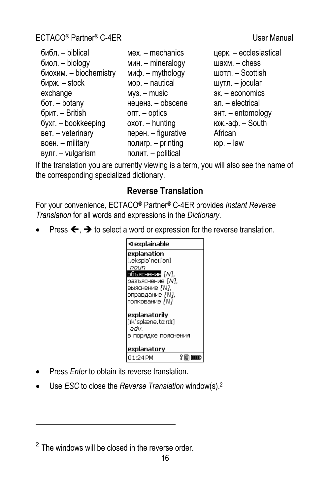| библ. - biblical       | $mex -$ mechanics   | церк. - ecclesiastical |
|------------------------|---------------------|------------------------|
| биол. - biology        | мин. - mineralogy   | шахм. $-$ chess        |
| биохим. - biochemistry | миф. $-$ mythology  | шотл. $-$ Scottish     |
| бирж. $-$ stock        | мор. - nautical     | шутл. $-$ jocular      |
| exchange               | $my3. - music$      | эк. - economics        |
| бот. - botany          | неценз. - obscene   | эл. – electrical       |
| брит. - British        | $OII - Optics$      | энт. - entomology      |
| бухг. - bookkeeping    | $oxOT. - hunting$   | юж.- $a\phi$ . - South |
| вет. - veterinary      | перен. - figurative | African                |
| воен. $-$ military     | полигр. - printing  | юр. – $law$            |
| $BVTI. - vulgarism$    | полит. - political  |                        |

If the translation you are currently viewing is a term, you will also see the name of the corresponding specialized dictionary.

#### **Reverse Translation**

For your convenience, ECTACO® Partner® C-4ER provides *Instant Reverse Translation* for all words and expressions in the *Dictionary*.

Press  $\leftarrow$ ,  $\rightarrow$  to select a word or expression for the reverse translation.

| ⊲ explainable                                |     |
|----------------------------------------------|-----|
| explanation<br>[.eksplə'neɪ∫ən]              |     |
| noun                                         |     |
| объяснение <i>IN</i> N.                      |     |
| разъяснение [N].                             |     |
| выяснение [N],                               |     |
| оправдание [N].                              |     |
| толкование <i>[N]</i>                        |     |
| explanatorily<br>[ɪkˈsɒlænə.tɔ:rɪlɪ]<br>adv. |     |
| в порядке пояснения                          |     |
| explanatory                                  |     |
| 01:24PM                                      | ?同而 |

- Press *Enter* to obtain its reverse translation.
- Use *ESC* to close the *Reverse Translation* window(s).2

l

 $2$  The windows will be closed in the reverse order.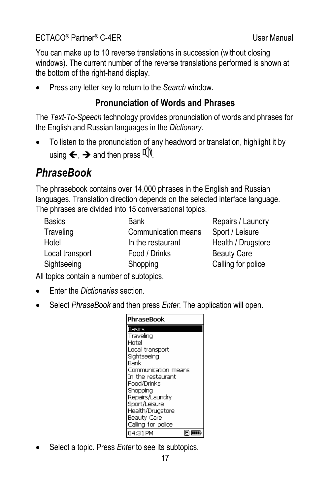<span id="page-16-0"></span>You can make up to 10 reverse translations in succession (without closing windows). The current number of the reverse translations performed is shown at the bottom of the right-hand display.

• Press any letter key to return to the *Search* window.

#### **Pronunciation of Words and Phrases**

The *Text-To-Speech* technology provides pronunciation of words and phrases for the English and Russian languages in the *Dictionary*.

• To listen to the pronunciation of any headword or translation, highlight it by using  $\leftarrow$   $\rightarrow$  and then press  $\overline{u}$ .

## *PhraseBook*

The phrasebook contains over 14,000 phrases in the English and Russian languages. Translation direction depends on the selected interface language. The phrases are divided into 15 conversational topics.

| <b>Basics</b>   | Bank                | Repairs / Laundry  |
|-----------------|---------------------|--------------------|
| Traveling       | Communication means | Sport / Leisure    |
| Hotel           | In the restaurant   | Health / Drugstore |
| Local transport | Food / Drinks       | <b>Beauty Care</b> |
| Sightseeing     | Shopping            | Calling for police |

All topics contain a number of subtopics.

- Enter the *Dictionaries* section.
- Select *PhraseBook* and then press *Enter*. The application will open.

| PhraseBook          |  |  |
|---------------------|--|--|
| Basics              |  |  |
| Traveling           |  |  |
| Hotel               |  |  |
| Local transport     |  |  |
| Siahtseeina         |  |  |
| Bank                |  |  |
| Communication means |  |  |
| In the restaurant   |  |  |
| Food/Drinks         |  |  |
| Shopping            |  |  |
| Repairs/Laundry     |  |  |
| Sport/Leisure       |  |  |
| Health/Drugstore    |  |  |
| Beauty Care         |  |  |
| Calling for police  |  |  |
| 04:31PM             |  |  |

Select a topic. Press *Enter* to see its subtopics.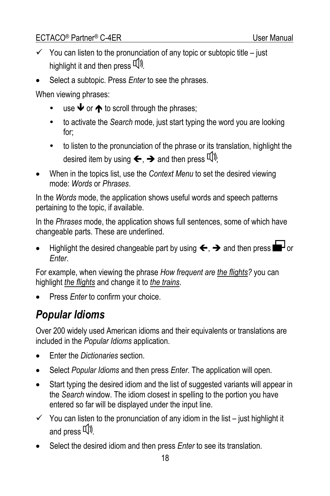- <span id="page-17-0"></span> $\checkmark$  You can listen to the pronunciation of any topic or subtopic title – just highlight it and then press  $\mathbb{Q}$ .
- Select a subtopic. Press *Enter* to see the phrases.

When viewing phrases:

- use  $\blacklozenge$  or  $\blacklozenge$  to scroll through the phrases;
- to activate the *Search* mode, just start typing the word you are looking for;
- to listen to the pronunciation of the phrase or its translation, highlight the desired item by using  $\leftarrow$ ,  $\rightarrow$  and then press  $\mathbb{I}$ ).
- When in the topics list, use the *Context Menu* to set the desired viewing mode: *Words* or *Phrases*.

In the *Words* mode, the application shows useful words and speech patterns pertaining to the topic, if available.

In the *Phrases* mode, the application shows full sentences, some of which have changeable parts. These are underlined.

Highlight the desired changeable part by using  $\leftarrow$ ,  $\rightarrow$  and then press  $\blacksquare$  or *Enter*.

For example, when viewing the phrase *How frequent are the flights?* you can highlight *the flights* and change it to *the trains*.

• Press *Enter* to confirm your choice.

# *Popular Idioms*

Over 200 widely used American idioms and their equivalents or translations are included in the *Popular Idioms* application.

- Enter the *Dictionaries* section.
- Select *Popular Idioms* and then press *Enter*. The application will open.
- Start typing the desired idiom and the list of suggested variants will appear in the *Search* window. The idiom closest in spelling to the portion you have entered so far will be displayed under the input line.
- $\checkmark$  You can listen to the pronunciation of any idiom in the list just highlight it and press  $\mathbb{Q}$ .
- Select the desired idiom and then press *Enter* to see its translation.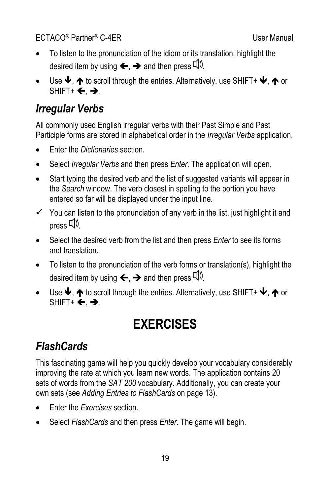- <span id="page-18-0"></span>• To listen to the pronunciation of the idiom or its translation, highlight the desired item by using  $\leftarrow$ ,  $\rightarrow$  and then press  $\mathbb{Q}$ .
- Use  $\blacklozenge$ ,  $\blacklozenge$  to scroll through the entries. Alternatively, use SHIFT+  $\blacklozenge$ ,  $\blacklozenge$  or  $SHIFT+ \leftarrow A$ .

### *Irregular Verbs*

All commonly used English irregular verbs with their Past Simple and Past Participle forms are stored in alphabetical order in the *Irregular Verbs* application.

- Enter the *Dictionaries* section.
- Select *Irregular Verbs* and then press *Enter*. The application will open.
- Start typing the desired verb and the list of suggested variants will appear in the *Search* window. The verb closest in spelling to the portion you have entered so far will be displayed under the input line.
- $\checkmark$  You can listen to the pronunciation of any verb in the list, just highlight it and  $press$   $\Box$
- Select the desired verb from the list and then press *Enter* to see its forms and translation.
- To listen to the pronunciation of the verb forms or translation(s), highlight the desired item by using  $\leftarrow$ ,  $\rightarrow$  and then press  $\mathbb{Q}$ .
- Use  $\blacklozenge$ ,  $\blacklozenge$  to scroll through the entries. Alternatively, use SHIFT+  $\blacklozenge$ ,  $\blacklozenge$  or  $SHIFT+ \leftarrow A$ .

# **EXERCISES**

## *FlashCards*

This fascinating game will help you quickly develop your vocabulary considerably improving the rate at which you learn new words. The application contains 20 sets of words from the *SAT 200* vocabulary. Additionally, you can create your own sets (see *Adding Entries to FlashCards* on page 13).

- Enter the *Exercises* section.
- Select *FlashCards* and then press *Enter*. The game will begin.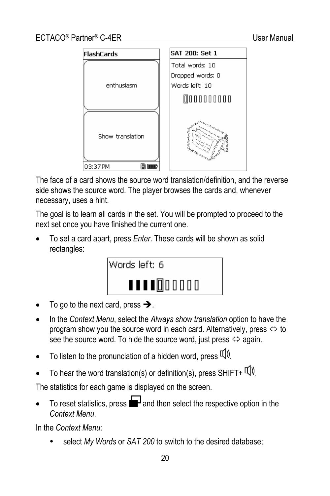

The face of a card shows the source word translation/definition, and the reverse side shows the source word. The player browses the cards and, whenever necessary, uses a hint.

The goal is to learn all cards in the set. You will be prompted to proceed to the next set once you have finished the current one.

• To set a card apart, press *Enter*. These cards will be shown as solid rectangles:



- To go to the next card, press  $\rightarrow$ .
- In the *Context Menu*, select the *Always show translation* option to have the program show you the source word in each card. Alternatively, press  $\Leftrightarrow$  to see the source word. To hide the source word, just press  $\Leftrightarrow$  again.
- To listen to the pronunciation of a hidden word, press  $\mathbb{I}(\mathbb{N})$ .
- To hear the word translation(s) or definition(s), press SHIFT+  $\Psi$ ).

The statistics for each game is displayed on the screen.

To reset statistics, press  $\blacksquare$  and then select the respective option in the *Context Menu*.

In the *Context Menu*:

select *My Words* or *SAT 200* to switch to the desired database;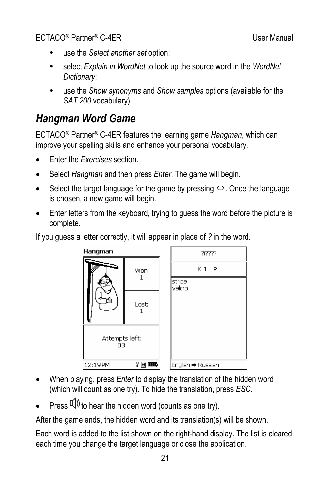- <span id="page-20-0"></span>use the *Select another set* option;
- select *Explain in WordNet* to look up the source word in the *WordNet Dictionary*;
- y use the *Show synonyms* and *Show samples* options (available for the *SAT 200* vocabulary).

#### *Hangman Word Game*

ECTACO® Partner® C-4ER features the learning game *Hangman*, which can improve your spelling skills and enhance your personal vocabulary.

- Enter the *Exercises* section.
- Select *Hangman* and then press *Enter*. The game will begin.
- Select the target language for the game by pressing  $\Leftrightarrow$ . Once the language is chosen, a new game will begin.
- Enter letters from the keyboard, trying to guess the word before the picture is complete.

If you guess a letter correctly, it will appear in place of *?* in the word.



- When playing, press *Enter* to display the translation of the hidden word (which will count as one try). To hide the translation, press *ESC*.
- Press  $\Pi$ ) to hear the hidden word (counts as one try).

After the game ends, the hidden word and its translation(s) will be shown.

Each word is added to the list shown on the right-hand display. The list is cleared each time you change the target language or close the application.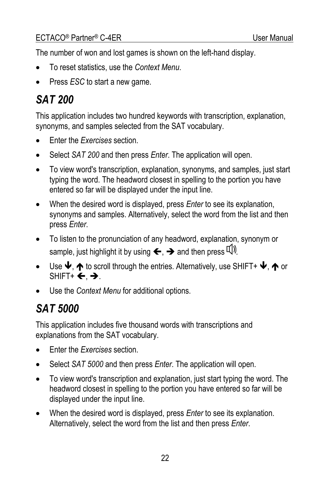<span id="page-21-0"></span>The number of won and lost games is shown on the left-hand display.

- To reset statistics, use the *Context Menu*.
- Press *ESC* to start a new game.

# *SAT 200*

This application includes two hundred keywords with transcription, explanation, synonyms, and samples selected from the SAT vocabulary.

- Enter the *Exercises* section.
- Select *SAT 200* and then press *Enter*. The application will open.
- To view word's transcription, explanation, synonyms, and samples, just start typing the word. The headword closest in spelling to the portion you have entered so far will be displayed under the input line.
- When the desired word is displayed, press *Enter* to see its explanation, synonyms and samples. Alternatively, select the word from the list and then press *Enter*.
- To listen to the pronunciation of any headword, explanation, synonym or sample, just highlight it by using  $\leftarrow$ ,  $\rightarrow$  and then press  $\mathbb{Q}$ .
- Use  $\Psi$ ,  $\spadesuit$  to scroll through the entries. Alternatively, use SHIFT+  $\Psi$ ,  $\spadesuit$  or  $SHIFT+ \leftarrow A$ .
- Use the *Context Menu* for additional options.

# *SAT 5000*

This application includes five thousand words with transcriptions and explanations from the SAT vocabulary.

- Enter the *Exercises* section.
- Select *SAT 5000* and then press *Enter*. The application will open.
- To view word's transcription and explanation, just start typing the word. The headword closest in spelling to the portion you have entered so far will be displayed under the input line.
- When the desired word is displayed, press *Enter* to see its explanation. Alternatively, select the word from the list and then press *Enter*.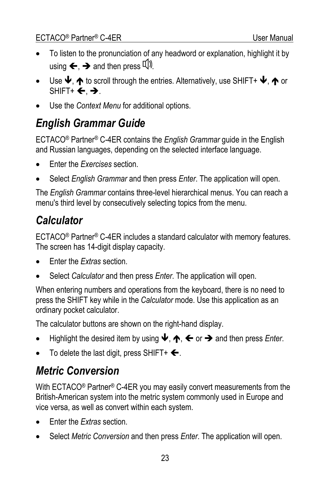- <span id="page-22-0"></span>• To listen to the pronunciation of any headword or explanation, highlight it by using  $\leftarrow$ ,  $\rightarrow$  and then press  $\Box$
- Use  $\blacklozenge$ ,  $\blacklozenge$  to scroll through the entries. Alternatively, use SHIFT+  $\blacklozenge$ ,  $\blacklozenge$  or SHIFT+  $\leftarrow$   $\rightarrow$ .
- Use the *Context Menu* for additional options.

### *English Grammar Guide*

ECTACO® Partner® C-4ER contains the *English Grammar* guide in the English and Russian languages, depending on the selected interface language.

- Enter the *Exercises* section.
- Select *English Grammar* and then press *Enter*. The application will open.

The *English Grammar* contains three-level hierarchical menus. You can reach a menu's third level by consecutively selecting topics from the menu.

## *Calculator*

ECTACO® Partner® C-4ER includes a standard calculator with memory features. The screen has 14-digit display capacity.

- Enter the *Extras* section.
- Select *Calculator* and then press *Enter*. The application will open.

When entering numbers and operations from the keyboard, there is no need to press the SHIFT key while in the *Calculator* mode. Use this application as an ordinary pocket calculator.

The calculator buttons are shown on the right-hand display.

- Highlight the desired item by using  $\Psi$ ,  $\spadesuit$ ,  $\spadesuit$  or  $\clubsuit$  and then press *Enter*.
- To delete the last digit, press SHIFT+  $\bigtriangleup$ .

## *Metric Conversion*

With ECTACO® Partner® C-4ER you may easily convert measurements from the British-American system into the metric system commonly used in Europe and vice versa, as well as convert within each system.

- Enter the *Extras* section.
- Select *Metric Conversion* and then press *Enter*. The application will open.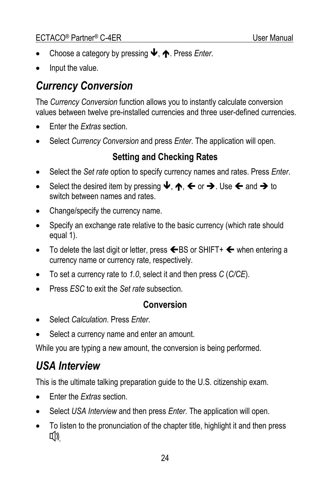- <span id="page-23-0"></span>Choose a category by pressing ↓, **↑**. Press *Enter*.
- Input the value.

## *Currency Conversion*

The *Currency Conversion* function allows you to instantly calculate conversion values between twelve pre-installed currencies and three user-defined currencies.

- Enter the *Extras* section.
- Select *Currency Conversion* and press *Enter*. The application will open.

#### **Setting and Checking Rates**

- Select the *Set rate* option to specify currency names and rates. Press *Enter*.
- Select the desired item by pressing  $\blacklozenge$ ,  $\blacklozenge$ ,  $\blacklozenge$  or  $\blacktriangleright$ . Use  $\blacklozenge$  and  $\blacktriangleright$  to switch between names and rates.
- Change/specify the currency name.
- Specify an exchange rate relative to the basic currency (which rate should equal 1).
- To delete the last digit or letter, press  $\leftarrow$  BS or SHIFT+  $\leftarrow$  when entering a currency name or currency rate, respectively.
- To set a currency rate to *1.0*, select it and then press *C* (*C/CE*).
- Press *ESC* to exit the *Set rate* subsection.

#### **Conversion**

- Select *Calculation*. Press *Enter*.
- Select a currency name and enter an amount.

While you are typing a new amount, the conversion is being performed.

# *USA Interview*

This is the ultimate talking preparation guide to the U.S. citizenship exam.

- Enter the *Extras* section.
- Select *USA Interview* and then press *Enter*. The application will open.
- To listen to the pronunciation of the chapter title, highlight it and then press **[1])**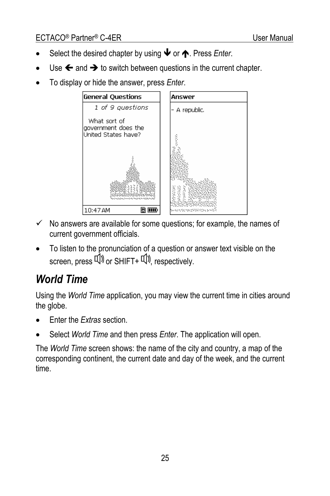- <span id="page-24-0"></span>Select the desired chapter by using ↓ or ↑. Press *Enter*.
- Use  $\leftarrow$  and  $\rightarrow$  to switch between questions in the current chapter.
- To display or hide the answer, press *Enter*.



- $\checkmark$  No answers are available for some questions; for example, the names of current government officials.
- To listen to the pronunciation of a question or answer text visible on the screen, press  $\left(\Downarrow\right)$  or SHIFT+  $\left(\Downarrow\right)$ , respectively.

## *World Time*

Using the *World Time* application, you may view the current time in cities around the globe.

- Enter the *Extras* section.
- Select *World Time* and then press *Enter*. The application will open.

The *World Time* screen shows: the name of the city and country, a map of the corresponding continent, the current date and day of the week, and the current time.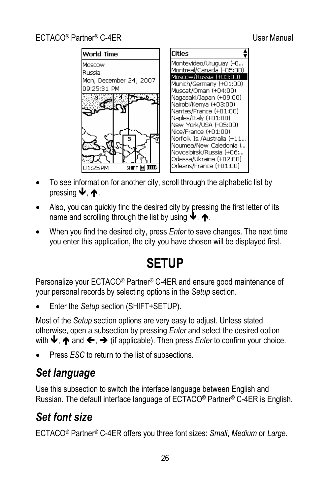<span id="page-25-0"></span>

- To see information for another city, scroll through the alphabetic list by pressing  $\blacklozenge$ .  $\blacklozenge$ .
- Also, you can quickly find the desired city by pressing the first letter of its name and scrolling through the list by using  $\blacklozenge$ ,  $\blacklozenge$ .
- When you find the desired city, press *Enter* to save changes. The next time you enter this application, the city you have chosen will be displayed first.

# **SETUP**

Personalize your ECTACO® Partner® C-4ER and ensure good maintenance of your personal records by selecting options in the *Setup* section.

• Enter the *Setup* section (SHIFT+SETUP).

Most of the *Setup* section options are very easy to adjust. Unless stated otherwise, open a subsection by pressing *Enter* and select the desired option with  $\blacklozenge$ ,  $\blacklozenge$  and  $\Leftarrow$ ,  $\blacktriangleright$  (if applicable). Then press *Enter* to confirm your choice.

• Press *ESC* to return to the list of subsections.

### *Set language*

Use this subsection to switch the interface language between English and Russian. The default interface language of ECTACO® Partner® C-4ER is English.

### *Set font size*

ECTACO® Partner® C-4ER offers you three font sizes: *Small*, *Medium* or *Large*.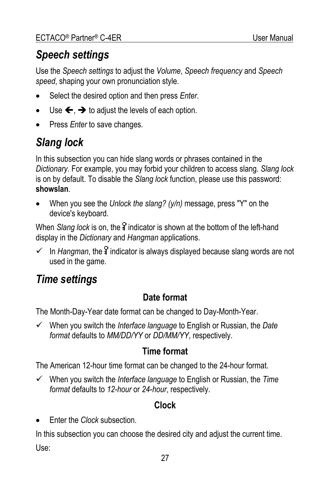# <span id="page-26-0"></span>*Speech settings*

Use the *Speech settings* to adjust the *Volume*, *Speech frequency* and *Speech speed*, shaping your own pronunciation style.

- Select the desired option and then press *Enter*.
- Use  $\leftarrow$ ,  $\rightarrow$  to adjust the levels of each option.
- Press *Enter* to save changes.

# *Slang lock*

In this subsection you can hide slang words or phrases contained in the *Dictionary*. For example, you may forbid your children to access slang. *Slang lock* is on by default. To disable the *Slang lock* function, please use this password: **showslan**.

• When you see the *Unlock the slang? (y/n)* message, press "Y" on the device's keyboard.

When *Slang lock* is on, the indicator is shown at the bottom of the left-hand display in the *Dictionary* and *Hangman* applications.

 $\checkmark$  In *Hangman*, the  $\frac{1}{4}$  indicator is always displayed because slang words are not used in the game.

### *Time settings*

#### **Date format**

The Month-Day-Year date format can be changed to Day-Month-Year.

9 When you switch the *Interface language* to English or Russian, the *Date format* defaults to *MM/DD/YY* or *DD/MM/YY*, respectively.

#### **Time format**

The American 12-hour time format can be changed to the 24-hour format.

9 When you switch the *Interface language* to English or Russian, the *Time format* defaults to *12-hour* or *24-hour*, respectively.

#### **Clock**

• Enter the *Clock* subsection.

In this subsection you can choose the desired city and adjust the current time. Use: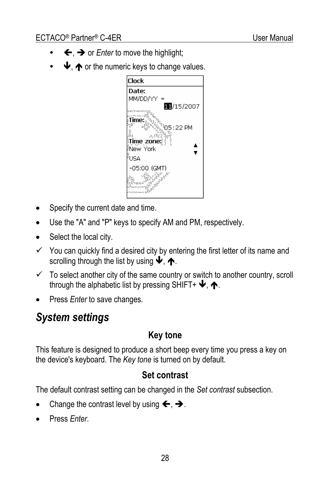- <span id="page-27-0"></span>←, → or *Enter* to move the highlight;
- $\blacktriangleright$ ,  $\blacktriangleleft$  or the numeric keys to change values.



- Specify the current date and time.
- Use the "A" and "P" keys to specify AM and PM, respectively.
- Select the local city.
- $\checkmark$  You can quickly find a desired city by entering the first letter of its name and scrolling through the list by using  $\blacktriangleright$ ,  $\blacklozenge$ .
- $\checkmark$  To select another city of the same country or switch to another country, scroll through the alphabetic list by pressing SHIFT+  $\blacklozenge$ ,  $\blacklozenge$ .
- Press *Enter* to save changes.

#### *System settings*

#### **Key tone**

This feature is designed to produce a short beep every time you press a key on the device's keyboard. The *Key tone* is turned on by default.

#### **Set contrast**

The default contrast setting can be changed in the *Set contrast* subsection.

- Change the contrast level by using  $\leftarrow, \rightarrow$ .
- Press *Enter*.